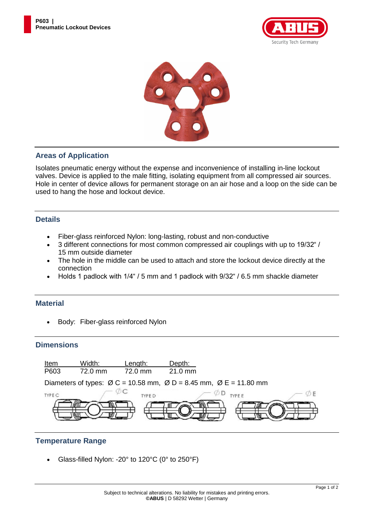



### **Areas of Application**

Isolates pneumatic energy without the expense and inconvenience of installing in-line lockout valves. Device is applied to the male fitting, isolating equipment from all compressed air sources. Hole in center of device allows for permanent storage on an air hose and a loop on the side can be used to hang the hose and lockout device.

#### **Details**

- Fiber-glass reinforced Nylon: long-lasting, robust and non-conductive
- 3 different connections for most common compressed air couplings with up to 19/32" / 15 mm outside diameter
- The hole in the middle can be used to attach and store the lockout device directly at the connection
- Holds 1 padlock with 1/4" / 5 mm and 1 padlock with 9/32" / 6.5 mm shackle diameter

#### **Material**

• Body: Fiber-glass reinforced Nylon

#### **Dimensions**



#### **Temperature Range**

Glass-filled Nylon: -20° to 120°C (0° to 250°F)